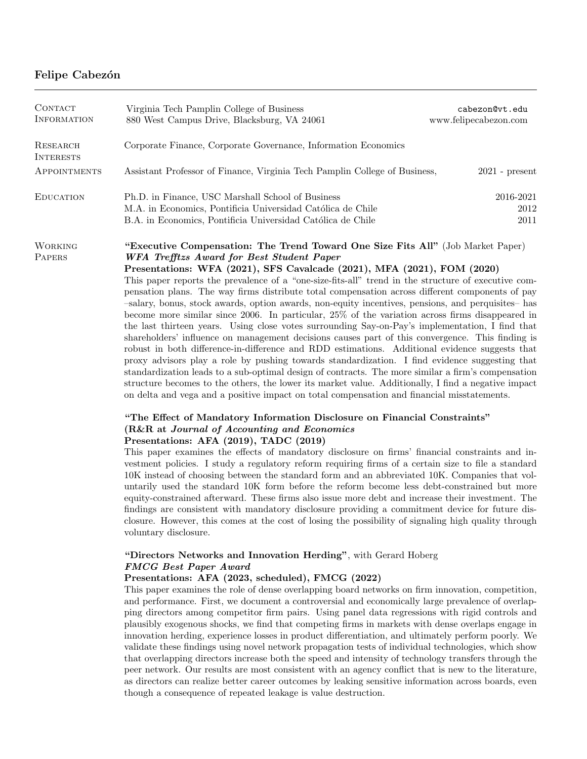## Felipe Cabezón

| <b>CONTACT</b><br><b>INFORMATION</b> | Virginia Tech Pamplin College of Business<br>880 West Campus Drive, Blacksburg, VA 24061                                                                                                                                                                                                                                                                                                                                                                                                                                                                                                                                                                                                                                                                                                                                                                                                                                                                                                                                                                                                                                                                                                                                                                                                                                                                                                                                                                                                                                                                                                                                                                                                                                                                                                                                                                                                                                                                                                                                                                                                                                                                                                                                                                                        | cabezon@vt.edu<br>www.felipecabezon.com |
|--------------------------------------|---------------------------------------------------------------------------------------------------------------------------------------------------------------------------------------------------------------------------------------------------------------------------------------------------------------------------------------------------------------------------------------------------------------------------------------------------------------------------------------------------------------------------------------------------------------------------------------------------------------------------------------------------------------------------------------------------------------------------------------------------------------------------------------------------------------------------------------------------------------------------------------------------------------------------------------------------------------------------------------------------------------------------------------------------------------------------------------------------------------------------------------------------------------------------------------------------------------------------------------------------------------------------------------------------------------------------------------------------------------------------------------------------------------------------------------------------------------------------------------------------------------------------------------------------------------------------------------------------------------------------------------------------------------------------------------------------------------------------------------------------------------------------------------------------------------------------------------------------------------------------------------------------------------------------------------------------------------------------------------------------------------------------------------------------------------------------------------------------------------------------------------------------------------------------------------------------------------------------------------------------------------------------------|-----------------------------------------|
| <b>RESEARCH</b><br><b>INTERESTS</b>  | Corporate Finance, Corporate Governance, Information Economics                                                                                                                                                                                                                                                                                                                                                                                                                                                                                                                                                                                                                                                                                                                                                                                                                                                                                                                                                                                                                                                                                                                                                                                                                                                                                                                                                                                                                                                                                                                                                                                                                                                                                                                                                                                                                                                                                                                                                                                                                                                                                                                                                                                                                  |                                         |
| <b>APPOINTMENTS</b>                  | Assistant Professor of Finance, Virginia Tech Pamplin College of Business,                                                                                                                                                                                                                                                                                                                                                                                                                                                                                                                                                                                                                                                                                                                                                                                                                                                                                                                                                                                                                                                                                                                                                                                                                                                                                                                                                                                                                                                                                                                                                                                                                                                                                                                                                                                                                                                                                                                                                                                                                                                                                                                                                                                                      | $2021$ - present                        |
| <b>EDUCATION</b>                     | Ph.D. in Finance, USC Marshall School of Business<br>M.A. in Economics, Pontificia Universidad Católica de Chile<br>B.A. in Economics, Pontificia Universidad Católica de Chile                                                                                                                                                                                                                                                                                                                                                                                                                                                                                                                                                                                                                                                                                                                                                                                                                                                                                                                                                                                                                                                                                                                                                                                                                                                                                                                                                                                                                                                                                                                                                                                                                                                                                                                                                                                                                                                                                                                                                                                                                                                                                                 | $2016 - 2021$<br>$2012\,$<br>2011       |
| <b>WORKING</b><br>PAPERS             | "Executive Compensation: The Trend Toward One Size Fits All" (Job Market Paper)<br>WFA Trefftzs Award for Best Student Paper<br>Presentations: WFA (2021), SFS Cavalcade (2021), MFA (2021), FOM (2020)<br>This paper reports the prevalence of a "one-size-fits-all" trend in the structure of executive com-<br>pensation plans. The way firms distribute total compensation across different components of pay<br>-salary, bonus, stock awards, option awards, non-equity incentives, pensions, and perquisites- has<br>become more similar since $2006$ . In particular, $25\%$ of the variation across firms disappeared in<br>the last thirteen years. Using close votes surrounding Say-on-Pay's implementation, I find that<br>shareholders' influence on management decisions causes part of this convergence. This finding is<br>robust in both difference-in-difference and RDD estimations. Additional evidence suggests that<br>proxy advisors play a role by pushing towards standardization. I find evidence suggesting that<br>standardization leads to a sub-optimal design of contracts. The more similar a firm's compensation<br>structure becomes to the others, the lower its market value. Additionally, I find a negative impact<br>on delta and vega and a positive impact on total compensation and financial misstatements.<br>"The Effect of Mandatory Information Disclosure on Financial Constraints"<br>(R&R at Journal of Accounting and Economics<br>Presentations: AFA (2019), TADC (2019)<br>This paper examines the effects of mandatory disclosure on firms' financial constraints and in-<br>vestment policies. I study a regulatory reform requiring firms of a certain size to file a standard<br>10K instead of choosing between the standard form and an abbreviated 10K. Companies that vol-<br>untarily used the standard 10K form before the reform become less debt-constrained but more<br>equity-constrained afterward. These firms also issue more debt and increase their investment. The<br>findings are consistent with mandatory disclosure providing a commitment device for future dis-<br>closure. However, this comes at the cost of losing the possibility of signaling high quality through<br>voluntary disclosure. |                                         |

## "Directors Networks and Innovation Herding", with Gerard Hoberg FMCG Best Paper Award

## Presentations: AFA (2023, scheduled), FMCG (2022)

This paper examines the role of dense overlapping board networks on firm innovation, competition, and performance. First, we document a controversial and economically large prevalence of overlapping directors among competitor firm pairs. Using panel data regressions with rigid controls and plausibly exogenous shocks, we find that competing firms in markets with dense overlaps engage in innovation herding, experience losses in product differentiation, and ultimately perform poorly. We validate these findings using novel network propagation tests of individual technologies, which show that overlapping directors increase both the speed and intensity of technology transfers through the peer network. Our results are most consistent with an agency conflict that is new to the literature, as directors can realize better career outcomes by leaking sensitive information across boards, even though a consequence of repeated leakage is value destruction.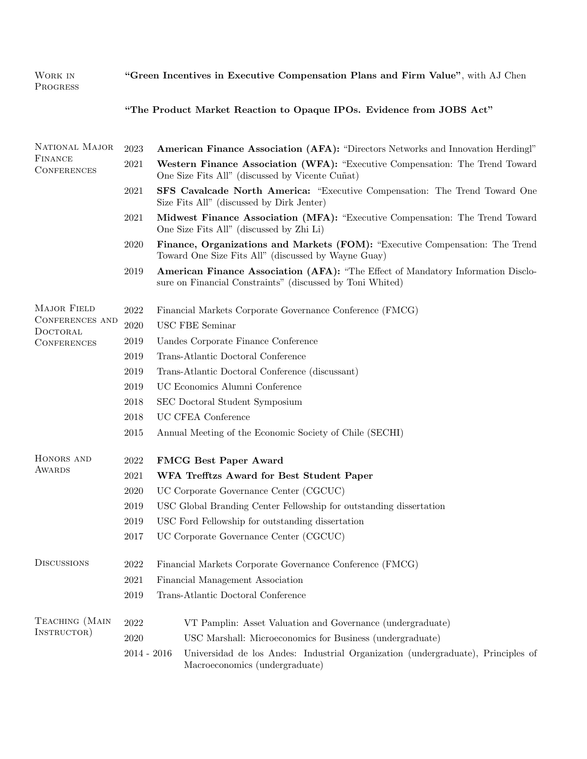| WORK IN<br><b>PROGRESS</b>                                              | "Green Incentives in Executive Compensation Plans and Firm Value", with AJ Chen |                                                                                                                                               |  |
|-------------------------------------------------------------------------|---------------------------------------------------------------------------------|-----------------------------------------------------------------------------------------------------------------------------------------------|--|
|                                                                         |                                                                                 | "The Product Market Reaction to Opaque IPOs. Evidence from JOBS Act"                                                                          |  |
| NATIONAL MAJOR<br><b>FINANCE</b><br><b>CONFERENCES</b>                  | 2023                                                                            | American Finance Association (AFA): "Directors Networks and Innovation Herdingl"                                                              |  |
|                                                                         | 2021                                                                            | Western Finance Association (WFA): "Executive Compensation: The Trend Toward<br>One Size Fits All" (discussed by Vicente Cuñat)               |  |
|                                                                         | 2021                                                                            | SFS Cavalcade North America: "Executive Compensation: The Trend Toward One<br>Size Fits All" (discussed by Dirk Jenter)                       |  |
|                                                                         | 2021                                                                            | Midwest Finance Association (MFA): "Executive Compensation: The Trend Toward<br>One Size Fits All" (discussed by Zhi Li)                      |  |
|                                                                         | 2020                                                                            | Finance, Organizations and Markets (FOM): "Executive Compensation: The Trend<br>Toward One Size Fits All" (discussed by Wayne Guay)           |  |
|                                                                         | 2019                                                                            | American Finance Association (AFA): "The Effect of Mandatory Information Disclo-<br>sure on Financial Constraints" (discussed by Toni Whited) |  |
| <b>MAJOR FIELD</b><br>CONFERENCES AND<br>DOCTORAL<br><b>CONFERENCES</b> | 2022                                                                            | Financial Markets Corporate Governance Conference (FMCG)                                                                                      |  |
|                                                                         | $2020\,$                                                                        | <b>USC FBE Seminar</b>                                                                                                                        |  |
|                                                                         | 2019                                                                            | Uandes Corporate Finance Conference                                                                                                           |  |
|                                                                         | 2019                                                                            | Trans-Atlantic Doctoral Conference                                                                                                            |  |
|                                                                         | 2019                                                                            | Trans-Atlantic Doctoral Conference (discussant)                                                                                               |  |
|                                                                         | 2019                                                                            | UC Economics Alumni Conference                                                                                                                |  |
|                                                                         | 2018                                                                            | SEC Doctoral Student Symposium                                                                                                                |  |
|                                                                         | 2018                                                                            | UC CFEA Conference                                                                                                                            |  |
|                                                                         | 2015                                                                            | Annual Meeting of the Economic Society of Chile (SECHI)                                                                                       |  |
| HONORS AND<br>AWARDS                                                    | 2022                                                                            | <b>FMCG Best Paper Award</b>                                                                                                                  |  |
|                                                                         | 2021                                                                            | WFA Trefftzs Award for Best Student Paper                                                                                                     |  |
|                                                                         | 2020                                                                            | UC Corporate Governance Center (CGCUC)                                                                                                        |  |
|                                                                         | 2019                                                                            | USC Global Branding Center Fellowship for outstanding dissertation                                                                            |  |
|                                                                         | 2019                                                                            | USC Ford Fellowship for outstanding dissertation                                                                                              |  |
|                                                                         | $2017\,$                                                                        | UC Corporate Governance Center (CGCUC)                                                                                                        |  |
| <b>DISCUSSIONS</b>                                                      | 2022                                                                            | Financial Markets Corporate Governance Conference (FMCG)                                                                                      |  |
|                                                                         | 2021                                                                            | Financial Management Association                                                                                                              |  |
|                                                                         | 2019                                                                            | Trans-Atlantic Doctoral Conference                                                                                                            |  |
| TEACHING (MAIN<br>INSTRUCTOR)                                           | 2022<br>2020                                                                    | VT Pamplin: Asset Valuation and Governance (undergraduate)<br>USC Marshall: Microeconomics for Business (undergraduate)                       |  |
|                                                                         | $2014 - 2016$                                                                   | Universidad de los Andes: Industrial Organization (undergraduate), Principles of<br>Macroeconomics (undergraduate)                            |  |